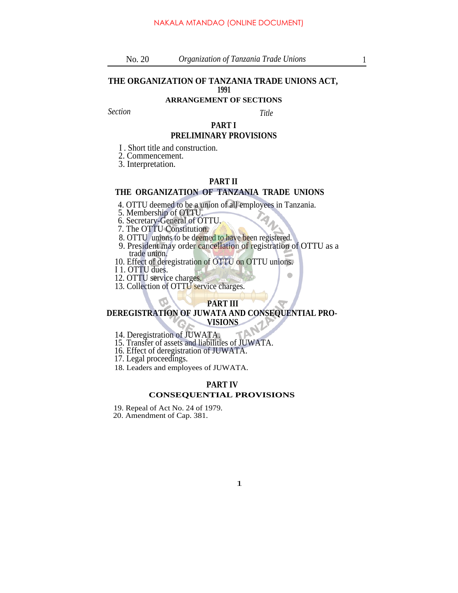#### **THE ORGANIZATION OF TANZANIA TRADE UNIONS ACT, 1991**

#### **ARRANGEMENT OF SECTIONS**

*Section Title*

## **PART I**

#### **PRELIMINARY PROVISIONS**

I . Short title and construction.

2. Commencement.

3. Interpretation.

#### **PART II**

#### **THE ORGANIZATION OF TANZANIA TRADE UNIONS**

4. OTTU deemed to be a union of all employees in Tanzania.

5. Membership of OTTU.

6. Secretary-General of OTTU.

7. The OTTU Constitution.

- 8. OTTU unions to be deemed to have been registered.
- 9. President may order cancellation of registration of OTTU as a trade union.
- 10. Effect of deregistration of OTTU on OTTU unions.
- I 1. OTTU dues.

12. OTTU service charges.

13. Collection of OTTU service charges.

#### **PART III**

#### **DEREGISTRATION OF JUWATA AND CONSEQUENTIAL PRO-VISIONS**

14. Deregistration of JUWATA.

15. Transfer of assets and liabilities of JUWATA.

16. Effect of deregistration of JUWATA.

17. Legal proceedings.

18. Leaders and employees of JUWATA.

#### **PART IV CONSEQUENTIAL PROVISIONS**

19. Repeal of Act No. 24 of 1979.

20. Amendment of Cap. 381.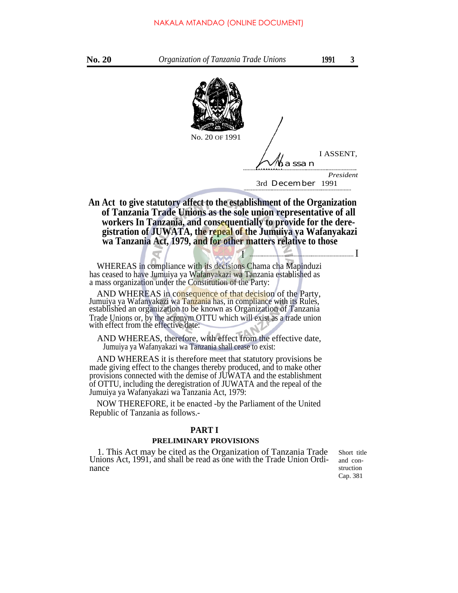

 $I \downarrow$  I

**An Act to give statutory affect to the establishment of the Organization of Tanzania Trade Unions as the sole union representative of all workers In Tanzania, and consequentially to provide for the deregistration of JUWATA, the repeal of the Jumuiya ya Wafanyakazi wa Tanzania Act, 1979, and for other matters relative to those**

WHEREAS in compliance with its decisions Chama cha Mapinduzi has ceased to have Jumuiya ya Wafanyakazi wa Tanzania established as a mass organization under the Constitution of the Party:

AND WHEREAS in consequence of that decision of the Party, Jumuiya ya Wafanyakazi wa Tanzania has, in compliance with its Rules, established an organization to be known as Organization of Tanzania Trade Unions or, by the acronym OTTU which will exist as a trade union with effect from the effective date:

AND WHEREAS, therefore, with effect from the effective date, Jumuiya ya Wafanyakazi wa Tanzania shall cease to exist:

AND WHEREAS it is therefore meet that statutory provisions be made giving effect to the changes thereby produced, and to make other provisions connected with the demise of JUWATA and the establishment of OTTU, including the deregistration of JUWATA and the repeal of the Jumuiya ya Wafanyakazi wa Tanzania Act, 1979:

NOW THEREFORE, it be enacted -by the Parliament of the United Republic of Tanzania as follows.-

#### **PART I**

#### **PRELIMINARY PROVISIONS**

1. This Act may be cited as the Organization of Tanzania Trade Unions Act, 1991, and shall be read as one with the Trade Union Ordinance

Short title and construction Cap. 381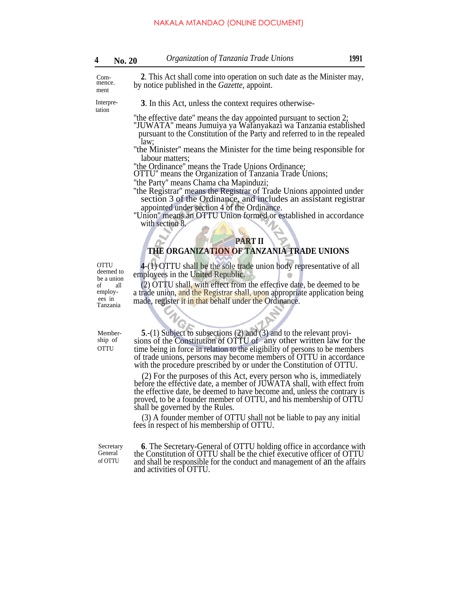|  | <b>No. 20</b> | Organization of Tanzania Trade Unions | 1991 |
|--|---------------|---------------------------------------|------|
|--|---------------|---------------------------------------|------|

Commence. ment

**2**. This Act shall come into operation on such date as the Minister may, by notice published in the *Gazette,* appoint.

tation

Interpre- **3**. In this Act, unless the context requires otherwise-

''the effective date'' means the day appointed pursuant to section 2; ''JUWATA'' means Jumuiya ya Wafanyakazi wa Tanzania established

pursuant to the Constitution of the Party and referred to in the repealed law;

''the Minister'' means the Minister for the time being responsible for labour matters;

''the Ordinance'' means the Trade Unions Ordinance;

OTTU'' means the Organization of Tanzania Trade Unions;

''the Party'' means Chama cha Mapinduzi;

''the Registrar'' means the Registrar of Trade Unions appointed under section 3 of the Ordinance, and includes an assistant registrar appointed under section 4 of the Ordinance.

''Union'' means an OTTU Union formed or established in accordance with section 8.

#### **PART II**

#### **THE ORGANIZATION OF TANZANIA TRADE UNIONS**

**4**-(1) OTTU shall be the sole trade union body representative of all employees in the United Republic. **OTTU** deemed to be a union of all employees in

Member-

Tanzania

(2) OTTU shall, with effect from the effective date, be deemed to be a trade union, and the Registrar shall, upon appropriate application being made, register it in that behalf under the Ordinance.

**5**.-(1) Subject to subsections (2) and (3) and to the relevant proviship of sions of the Constitution of OTTU of any other written law for the OTTU time being in force in relation to the eligibility of persons to be members of trade unions, persons may become members of OTTU in accordance with the procedure prescribed by or under the Constitution of OTTU.

> (2) For the purposes of this Act, every person who is, immediately before the effective date, a member of JUWATA shall, with effect from the effective date, be deemed to have become and, unless the contrary is proved, to be a founder member of OTTU, and his membership of OTTU shall be governed by the Rules.

(3) A founder member of OTTU shall not be liable to pay any initial fees in respect of his membership of OTTU.

Secretary General of OTTU

**6**. The Secretary-General of OTTU holding office in accordance with the Constitution of OTTU shall be the chief executive officer of OTTU and shall be responsible for the conduct and management of an the affairs and activities of OTTU.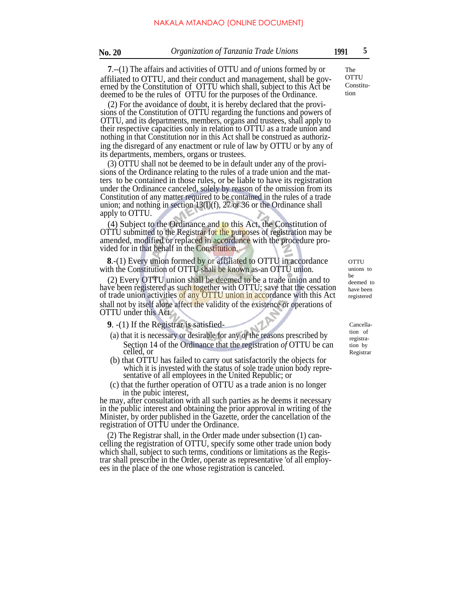**7**.--(1) The affairs and activities of OTTU and *of* unions formed by or affiliated to OTTU, and their conduct and management, shall be governed by the Constitution of OTTU which shall, subject to this Act be deemed to be the rules of OTTU for the purposes of the Ordinance.

(2) For the avoidance of doubt, it is hereby declared that the provisions of the Constitution of OTTU regarding the functions and powers of OTTU, and its departments, members, organs and trustees, shall apply to their respective capacities only in relation to OTTU as a trade union and nothing in that Constitution nor in this Act shall be construed as authorizing the disregard of any enactment or rule of law by OTTU or by any of its departments, members, organs or trustees.

(3) OTTU shall not be deemed to be in default under any of the provisions of the Ordinance relating to the rules of a trade union and the matters to be contained in those rules, or be liable to have its registration under the Ordinance canceled, solely by reason of the omission from its Constitution of any matter required to be contained in the rules of a trade union; and nothing in section  $13(l)(f)$ , 27 or 36 or the Ordinance shall apply to OTTU.

(4) Subject to the Ordinance and to this Act, the Constitution of OTTU submitted to the Registrar for the purposes of registration may be amended, modified or replaced in accordance with the procedure provided for in that behalf in the Constitution.

**8**.-(1) Every union formed by or affiliated to OTTU in accordance with the Constitution of OTTU shall be known as-an OTTU union.

(2) Every OTTU union shall be deemed to be a trade union and to have been registered as such together with OTTU; save that the cessation of trade union activities of any OTTU union in accordance with this Act shall not by itself alone affect the validity of the existence or operations of OTTU under this Act.

**9**. -(1) If the Registrar is satisfied-

- (a) that it is necessary or desirable for any *of* the reasons prescribed by Section 14 of the Ordinance that the registration *of* OTTU be can celled, or
- (b) that OTTU has failed to carry out satisfactorily the objects for which it is invested with the status of sole trade union body representative of all employees in the United Republic; or
- (c) that the further operation of OTTU as a trade anion is no longer in the pubic interest,

he may, after consultation with all such parties as he deems it necessary in the public interest and obtaining the prior approval in writing of the Minister, by order published in the Gazette, order the cancellation of the registration of OTTU under the Ordinance.

(2) The Registrar shall, in the Order made under subsection (1) cancelling the registration of OTTU, specify some other trade union body which shall, subject to such terms, conditions or limitations as the Registrar shall prescribe in the Order, operate as representative 'of all employees in the place of the one whose registration is canceled.

The **OTTU** Constitution

> **OTTU** unions to be deemed to have been registered

Cancellation of registration by Registrar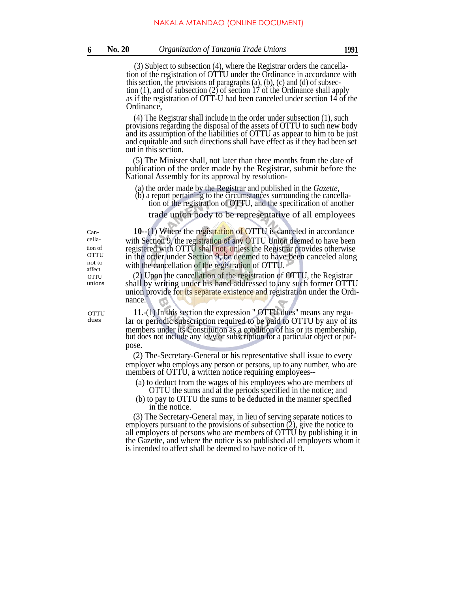(3) Subject to subsection (4), where the Registrar orders the cancellation of the registration of OTTU under the Ordinance in accordance with this section, the provisions of paragraphs  $(a)$ ,  $(b)$ ,  $(c)$  and  $(d)$  of subsection (1), and of subsection (2) of section 17 of the Ordinance shall apply as if the registration of OTT-U had been canceled under section 14 of the Ordinance,

(4) The Registrar shall include in the order under subsection (1), such provisions regarding the disposal of the assets of OTTU to such new body and its assumption of the liabilities of OTTU as appear to him to be just and equitable and such directions shall have effect as if they had been set out in this section.

(5) The Minister shall, not later than three months from the date of publication of the order made by the Registrar, submit before the National Assembly for its approval by resolution-

(a) the order made by the Registrar and published in the *Gazette,*

(b) a report pertaining to the circumstances surrounding the cancellation of the registration of OTTU, and the specification of another

trade union body to be representative of all employees

affect unions

**OTTU** dues

Can- **10**--(1) Where the registration of OTTU is canceled in accordance cella- with Section 9, the registration of any OTTU Union deemed to have been tion of registered with OTTU shall not, unless the Registrar provides otherwise<br>OTTU in the order under Section 9, be deemed to have been canceled along  $\overrightarrow{OTTU}$  in the order under Section 9, be deemed to have been canceled along not to with the cancellation of the registration of OTTU.

 $O(T)$  (2) Upon the cancellation of the registration of OTTU, the Registrar shall by writing under his hand addressed to any such former OTTU union provide for its separate existence and registration under the Ordinance.

> **11**.-(1) In this section the expression " OTTU dues'' means any regular or periodic subscription required to be paid to OTTU by any of its members under its Constitution as a condition of his or its membership, but does not include any levy or subscription for a particular object or purpose.

> (2) The-Secretary-General or his representative shall issue to every employer who employs any person or persons, up to any number, who are members of OTTU, a written notice requiring employees--

(a) to deduct from the wages of his employees who are members of OTTU the sums and at the periods specified in the notice; and

(b) to pay to OTTU the sums to be deducted in the manner specified in the notice.

(3) The Secretary-General may, in lieu of serving separate notices to employers pursuant to the provisions of subsection  $(2)$ , give the notice to all employers of persons who are members of OTTU by publishing it in the Gazette, and where the notice is so published all employers whom it is intended to affect shall be deemed to have notice of ft.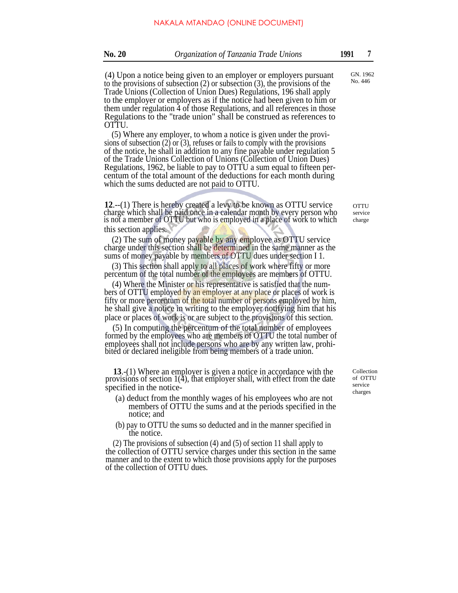(4) Upon a notice being given to an employer or employers pursuant to the provisions of subsection (2) or subsection (3), the provisions of the Trade Unions (Collection of Union Dues) Regulations, 196 shall apply to the employer or employers as if the notice had been given to him or them under regulation 4 of those Regulations, and all references in those Regulations to the "trade union" shall be construed as references to OTTU.

(5) Where any employer, to whom a notice is given under the provisions of subsection  $(2)$  or  $(3)$ , refuses or fails to comply with the provisions of the notice, he shall in addition to any fine payable under regulation 5 of the Trade Unions Collection of Unions (Collection of Union Dues) Regulations, 1962, be liable to pay to OTTU a sum equal to fifteen percentum of the total amount of the deductions for each month during which the sums deducted are not paid to OTTU.

**12**.--(1) There is hereby created a levy to be known as OTTU service charge which shall be paid once in a calendar month by every person who is not a member of OTTU but who is employed in a place of work to which this section applies.

(2) The sum of money payable by any employee as OTTU service charge under this section shall be determined in the same manner as the sums of money payable by members of OTTU dues under section I 1.

(3) This section shall apply to all places of work where fifty or more percentum of the total number of the employees are members of OTTU.

(4) Where the Minister or his representative is satisfied that the numbers of OTTU employed by an employer at any place or places of work is fifty or more percentum of the total number of persons employed by him, he shall give a notice in writing to the employer notifying him that his place or places of work is or are subject to the provisions of this section.

(5) In computing the percentum of the total number of employees formed by the employees who are members of OTTU the total number of employees shall not include persons who are by any written law, prohi- . bited or declared ineligible from being members of a trade union.

**13**.-(1) Where an employer is given a notice in accordance with the provisions of section 1(4), that employer shall, with effect from the date specified in the notice-

- (a) deduct from the monthly wages of his employees who are not members of OTTU the sums and at the periods specified in the notice; and
- (b) pay to OTTU the sums so deducted and in the manner specified in the notice.

(2) The provisions of subsection (4) and (5) of section 11 shall apply to the collection of OTTU service charges under this section in the same manner and to the extent to which those provisions apply for the purposes of the collection of OTTU dues.

Collection of OTTU service charges

GN. 1962 No. 446

**OTTU** service charge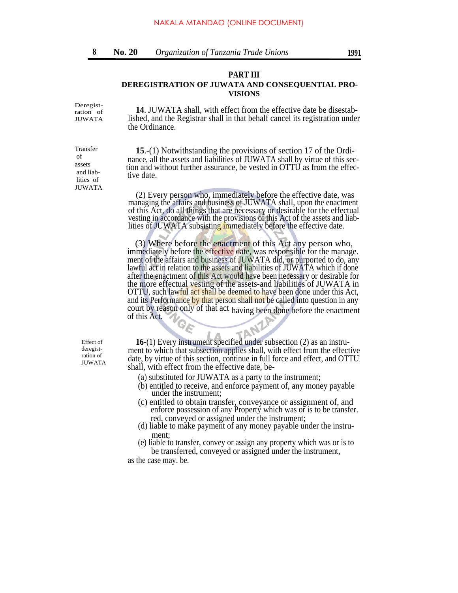#### **PART III**

#### **DEREGISTRATION OF JUWATA AND CONSEQUENTIAL PRO-VISIONS**

Deregistration of JUWATA

Transfer of assets and liab lities of JUWATA

**14**. JUWATA shall, with effect from the effective date be disestablished, and the Registrar shall in that behalf cancel its registration under the Ordinance.

**15**.-(1) Notwithstanding the provisions of section 17 of the Ordinance, all the assets and liabilities of JUWATA shall by virtue of this section and without further assurance, be vested in OTTU as from the effec tive date.

(2) Every person who, immediately before the effective date, was managing the affairs and business of JUWATA shall, upon the enactment of this Act, do all things that are necessary or desirable for the effectual vesting in accordance with the provisions of this Act of the assets and liablities of JUWATA subsisting immediately before the effective date.

(3) Where before the enactment of this Act any person who, immediately before the effective date, was responsible for the manage. ment of the affairs and business of JUWATA did, or purported to do, any lawful act in relation to the assets and liabilities of JUWATA which if done after the enactment of this Act would have been necessary or desirable for the more effectual vesting of the assets-and liabilities of JUWATA in OTTU, such lawful act shall be deemed to have been done under this Act, and its Performance by that person shall not be called into question in any court by reason only of that act having been done before the enactment of this Act.

Effect of deregistration of

**16**-(1) Every instrument specified under subsection (2) as an instrument to which that subsection applies shall, with effect from the effective date, by virtue of this section, continue in full force and effect, and OTTU shall, with effect from the effective date, be-

- (a) substituted for JUWATA as a party to the instrument;
- (b) entitled to receive, and enforce payment of, any money payable under the instrument;
- (c) entitled to obtain transfer, conveyance or assignment of, and enforce possession of any Property which was or is to be transfer. red, conveyed or assigned under the instrument;
- (d) liable to make payment of any money payable under the instrument;
- (e) liable to transfer, convey or assign any property which was or is to be transferred, conveyed or assigned under the instrument,

as the case may. be.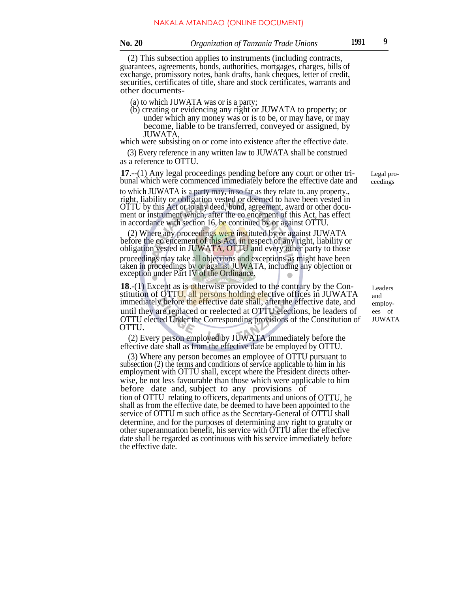(2) This subsection applies to instruments (including contracts, guarantees, agreements, bonds, authorities, mortgages, charges, bills of exchange, promissory notes, bank drafts, bank cheques, letter of credit, securities, certificates of title, share and stock certificates, warrants and other documents-

- (a) to which JUWATA was or is a party;
- (b) creating or evidencing any right or JUWATA to property; or under which any money was or is to be, or may have, or may become, liable to be transferred, conveyed or assigned, by JUWATA,

which were subsisting on or come into existence after the effective date.

(3) Every reference in any written law to JUWATA shall be construed as a reference to OTTU.

**17**.--(1) Any legal proceedings pending before any court or other tribunal which were commenced immediately before the effective date and

to which JUWATA is a party may, in so far as they relate to. any property., right, liability or obligation vested or deemed to have been vested in OTTU by this Act or to any deed, bond, agreement, award or other document or instrument which, after the co encement of this Act, has effect in accordance with section 16, be continued by or against OTTU.

(2) Where any proceedings were instituted by or against JUWATA before the co encement of this Act, in respect of any right, liability or obligation vested in JUWATA, OTTU and every other party to those

proceedings may take all objections and exceptions as might have been taken in proceedings by or against JUWATA, including any objection or exception under Part IV of the Ordinance.

**18.**-(1) Except as is otherwise provided to the contrary by the Constitution of OTTU, all persons holding elective offices in JUWATA immediately before the effective date shall, after the effective date, and until they are replaced or reelected at OTTU elections, be leaders of OTTU elected Under the Corresponding provisions of the Constitution of OTTU.

(2) Every person employed by JUWATA immediately before the effective date shall as from the effective date be employed by OTTU.

(3) Where any person becomes an employee of OTTU pursuant to subsection (2) the terms and conditions of service applicable to him in his employment with OTTU shall, except where the President directs otherwise, be not less favourable than those which were applicable to him before date and, subject to any provisions of tion of OTTU relating to officers, departments and unions of OTTU, he shall as from the effective date, be deemed to have been appointed to the service of OTTU m such office as the Secretary-General of OTTU shall . determine, and for the purposes of determining any right to gratuity or other superannuation benefit, his service with OTTU after the effective date shall be regarded as continuous with his service immediately before the effective date.

Legal proceedings

Leaders and employees of JUWATA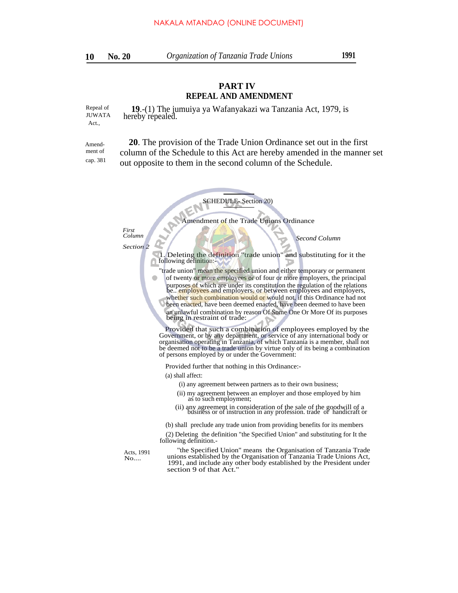**10**

### **PART IV REPEAL AND AMENDMENT**

Repeal of **19**.-(1) The jumuiya ya Wafanyakazi wa Tanzania Act, 1979, is hereby repealed. Act.,

Amendment of cap. 381

 **20**. The provision of the Trade Union Ordinance set out in the first column of the Schedule to this Act are hereby amended in the manner set out opposite to them in the second column of the Schedule.